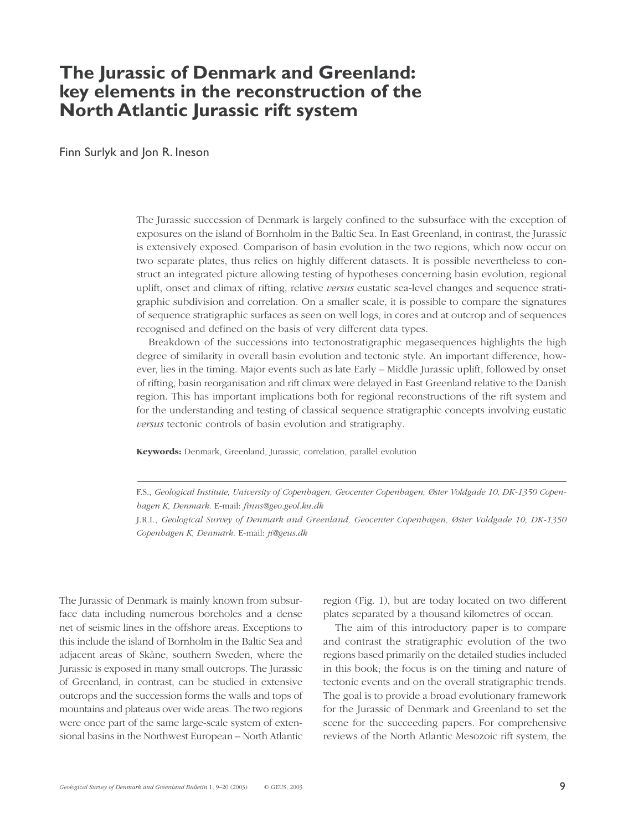# **The Jurassic of Denmark and Greenland: key elements in the reconstruction of the North Atlantic Jurassic rift system**

Finn Surlyk and Jon R. Ineson

The Jurassic succession of Denmark is largely confined to the subsurface with the exception of exposures on the island of Bornholm in the Baltic Sea. In East Greenland, in contrast, the Jurassic is extensively exposed. Comparison of basin evolution in the two regions, which now occur on two separate plates, thus relies on highly different datasets. It is possible nevertheless to construct an integrated picture allowing testing of hypotheses concerning basin evolution, regional uplift, onset and climax of rifting, relative *versus* eustatic sea-level changes and sequence stratigraphic subdivision and correlation. On a smaller scale, it is possible to compare the signatures of sequence stratigraphic surfaces as seen on well logs, in cores and at outcrop and of sequences recognised and defined on the basis of very different data types.

Breakdown of the successions into tectonostratigraphic megasequences highlights the high degree of similarity in overall basin evolution and tectonic style. An important difference, however, lies in the timing. Major events such as late Early – Middle Jurassic uplift, followed by onset of rifting, basin reorganisation and rift climax were delayed in East Greenland relative to the Danish region. This has important implications both for regional reconstructions of the rift system and for the understanding and testing of classical sequence stratigraphic concepts involving eustatic *versus* tectonic controls of basin evolution and stratigraphy.

**Keywords:** Denmark, Greenland, Jurassic, correlation, parallel evolution

F.S., *Geological Institute, University of Copenhagen, Geocenter Copenhagen, Øster Voldgade 10, DK-1350 Copenhagen K, Denmark.* E-mail: *finns@geo.geol.ku.dk*

J.R.I., *Geological Survey of Denmark and Greenland, Geocenter Copenhagen, Øster Voldgade 10, DK-1350 Copenhagen K, Denmark.* E-mail: *ji@geus.dk*

The Jurassic of Denmark is mainly known from subsurface data including numerous boreholes and a dense net of seismic lines in the offshore areas. Exceptions to this include the island of Bornholm in the Baltic Sea and adjacent areas of Skåne, southern Sweden, where the Jurassic is exposed in many small outcrops. The Jurassic of Greenland, in contrast, can be studied in extensive outcrops and the succession forms the walls and tops of mountains and plateaus over wide areas. The two regions were once part of the same large-scale system of extensional basins in the Northwest European – North Atlantic region (Fig. 1), but are today located on two different plates separated by a thousand kilometres of ocean.

The aim of this introductory paper is to compare and contrast the stratigraphic evolution of the two regions based primarily on the detailed studies included in this book; the focus is on the timing and nature of tectonic events and on the overall stratigraphic trends. The goal is to provide a broad evolutionary framework for the Jurassic of Denmark and Greenland to set the scene for the succeeding papers. For comprehensive reviews of the North Atlantic Mesozoic rift system, the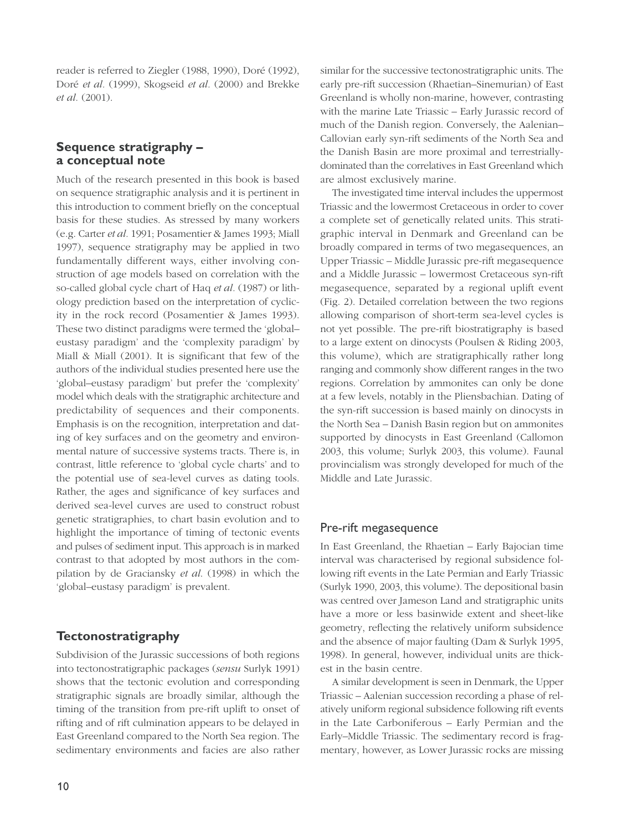reader is referred to Ziegler (1988, 1990), Doré (1992), Doré *et al.* (1999), Skogseid *et al.* (2000) and Brekke *et al.* (2001).

# **Sequence stratigraphy – a conceptual note**

Much of the research presented in this book is based on sequence stratigraphic analysis and it is pertinent in this introduction to comment briefly on the conceptual basis for these studies. As stressed by many workers (e.g. Carter *et al.* 1991; Posamentier & James 1993; Miall 1997), sequence stratigraphy may be applied in two fundamentally different ways, either involving construction of age models based on correlation with the so-called global cycle chart of Haq *et al.* (1987) or lithology prediction based on the interpretation of cyclicity in the rock record (Posamentier & James 1993). These two distinct paradigms were termed the 'global– eustasy paradigm' and the 'complexity paradigm' by Miall & Miall (2001). It is significant that few of the authors of the individual studies presented here use the 'global–eustasy paradigm' but prefer the 'complexity' model which deals with the stratigraphic architecture and predictability of sequences and their components. Emphasis is on the recognition, interpretation and dating of key surfaces and on the geometry and environmental nature of successive systems tracts. There is, in contrast, little reference to 'global cycle charts' and to the potential use of sea-level curves as dating tools. Rather, the ages and significance of key surfaces and derived sea-level curves are used to construct robust genetic stratigraphies, to chart basin evolution and to highlight the importance of timing of tectonic events and pulses of sediment input. This approach is in marked contrast to that adopted by most authors in the compilation by de Graciansky *et al*. (1998) in which the 'global–eustasy paradigm' is prevalent.

# **Tectonostratigraphy**

Subdivision of the Jurassic successions of both regions into tectonostratigraphic packages (*sensu* Surlyk 1991) shows that the tectonic evolution and corresponding stratigraphic signals are broadly similar, although the timing of the transition from pre-rift uplift to onset of rifting and of rift culmination appears to be delayed in East Greenland compared to the North Sea region. The sedimentary environments and facies are also rather similar for the successive tectonostratigraphic units. The early pre-rift succession (Rhaetian–Sinemurian) of East Greenland is wholly non-marine, however, contrasting with the marine Late Triassic – Early Jurassic record of much of the Danish region. Conversely, the Aalenian– Callovian early syn-rift sediments of the North Sea and the Danish Basin are more proximal and terrestriallydominated than the correlatives in East Greenland which are almost exclusively marine.

The investigated time interval includes the uppermost Triassic and the lowermost Cretaceous in order to cover a complete set of genetically related units. This stratigraphic interval in Denmark and Greenland can be broadly compared in terms of two megasequences, an Upper Triassic – Middle Jurassic pre-rift megasequence and a Middle Jurassic – lowermost Cretaceous syn-rift megasequence, separated by a regional uplift event (Fig. 2). Detailed correlation between the two regions allowing comparison of short-term sea-level cycles is not yet possible. The pre-rift biostratigraphy is based to a large extent on dinocysts (Poulsen & Riding 2003, this volume), which are stratigraphically rather long ranging and commonly show different ranges in the two regions. Correlation by ammonites can only be done at a few levels, notably in the Pliensbachian. Dating of the syn-rift succession is based mainly on dinocysts in the North Sea – Danish Basin region but on ammonites supported by dinocysts in East Greenland (Callomon 2003, this volume; Surlyk 2003, this volume). Faunal provincialism was strongly developed for much of the Middle and Late Jurassic.

### Pre-rift megasequence

In East Greenland, the Rhaetian – Early Bajocian time interval was characterised by regional subsidence following rift events in the Late Permian and Early Triassic (Surlyk 1990, 2003, this volume). The depositional basin was centred over Jameson Land and stratigraphic units have a more or less basinwide extent and sheet-like geometry, reflecting the relatively uniform subsidence and the absence of major faulting (Dam & Surlyk 1995, 1998). In general, however, individual units are thickest in the basin centre.

A similar development is seen in Denmark, the Upper Triassic – Aalenian succession recording a phase of relatively uniform regional subsidence following rift events in the Late Carboniferous – Early Permian and the Early–Middle Triassic. The sedimentary record is fragmentary, however, as Lower Jurassic rocks are missing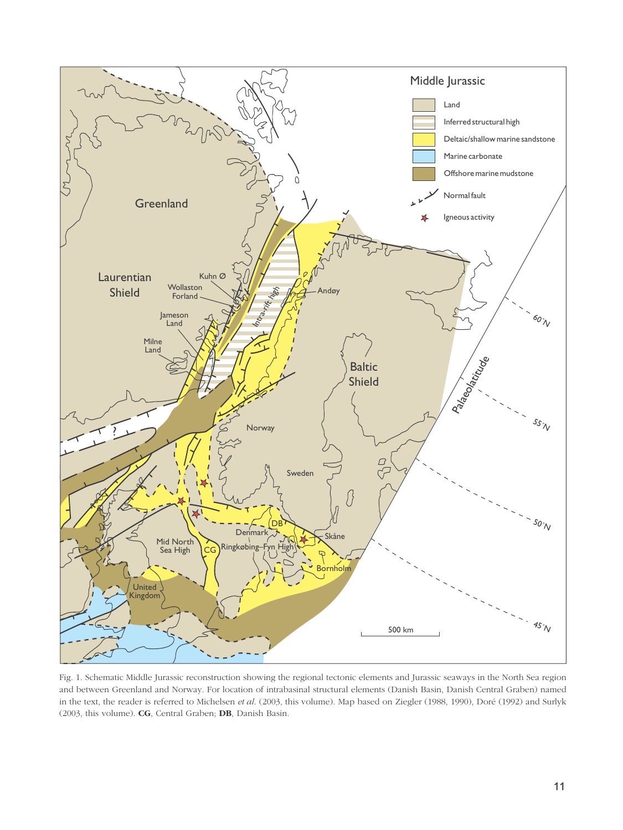

Fig. 1. Schematic Middle Jurassic reconstruction showing the regional tectonic elements and Jurassic seaways in the North Sea region and between Greenland and Norway. For location of intrabasinal structural elements (Danish Basin, Danish Central Graben) named in the text, the reader is referred to Michelsen *et al*. (2003, this volume). Map based on Ziegler (1988, 1990), Doré (1992) and Surlyk (2003, this volume). **CG**, Central Graben; **DB**, Danish Basin.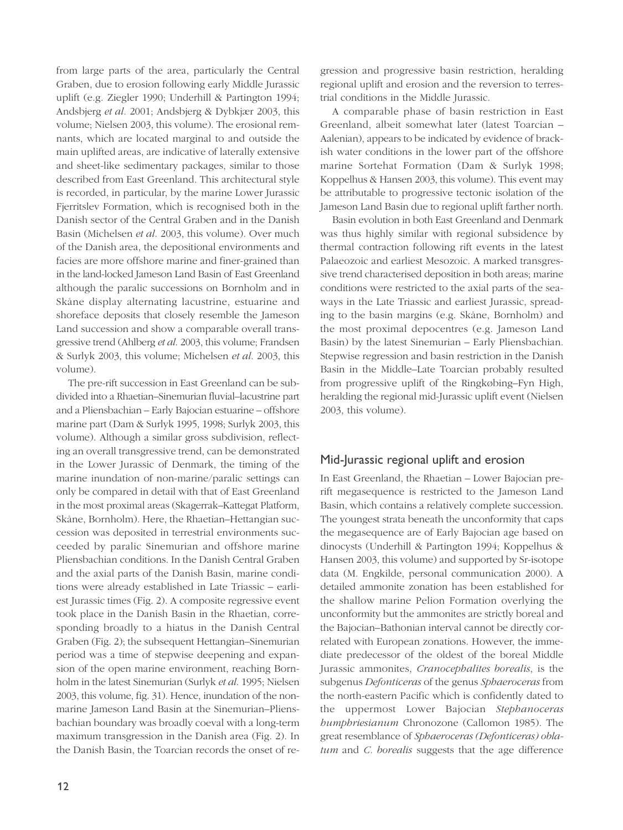from large parts of the area, particularly the Central Graben, due to erosion following early Middle Jurassic uplift (e.g. Ziegler 1990; Underhill & Partington 1994; Andsbjerg *et al.* 2001; Andsbjerg & Dybkjær 2003, this volume; Nielsen 2003, this volume). The erosional remnants, which are located marginal to and outside the main uplifted areas, are indicative of laterally extensive and sheet-like sedimentary packages, similar to those described from East Greenland. This architectural style is recorded, in particular, by the marine Lower Jurassic Fjerritslev Formation, which is recognised both in the Danish sector of the Central Graben and in the Danish Basin (Michelsen *et al*. 2003, this volume). Over much of the Danish area, the depositional environments and facies are more offshore marine and finer-grained than in the land-locked Jameson Land Basin of East Greenland although the paralic successions on Bornholm and in Skåne display alternating lacustrine, estuarine and shoreface deposits that closely resemble the Jameson Land succession and show a comparable overall transgressive trend (Ahlberg *et al*. 2003, this volume; Frandsen & Surlyk 2003, this volume; Michelsen *et al*. 2003, this volume).

The pre-rift succession in East Greenland can be subdivided into a Rhaetian–Sinemurian fluvial–lacustrine part and a Pliensbachian – Early Bajocian estuarine – offshore marine part (Dam & Surlyk 1995, 1998; Surlyk 2003, this volume). Although a similar gross subdivision, reflecting an overall transgressive trend, can be demonstrated in the Lower Jurassic of Denmark, the timing of the marine inundation of non-marine/paralic settings can only be compared in detail with that of East Greenland in the most proximal areas (Skagerrak–Kattegat Platform, Skåne, Bornholm). Here, the Rhaetian–Hettangian succession was deposited in terrestrial environments succeeded by paralic Sinemurian and offshore marine Pliensbachian conditions. In the Danish Central Graben and the axial parts of the Danish Basin, marine conditions were already established in Late Triassic – earliest Jurassic times (Fig. 2). A composite regressive event took place in the Danish Basin in the Rhaetian, corresponding broadly to a hiatus in the Danish Central Graben (Fig. 2); the subsequent Hettangian–Sinemurian period was a time of stepwise deepening and expansion of the open marine environment, reaching Bornholm in the latest Sinemurian (Surlyk *et al*. 1995; Nielsen 2003, this volume, fig. 31). Hence, inundation of the nonmarine Jameson Land Basin at the Sinemurian–Pliensbachian boundary was broadly coeval with a long-term maximum transgression in the Danish area (Fig. 2). In the Danish Basin, the Toarcian records the onset of regression and progressive basin restriction, heralding regional uplift and erosion and the reversion to terrestrial conditions in the Middle Jurassic.

A comparable phase of basin restriction in East Greenland, albeit somewhat later (latest Toarcian – Aalenian), appears to be indicated by evidence of brackish water conditions in the lower part of the offshore marine Sortehat Formation (Dam & Surlyk 1998; Koppelhus & Hansen 2003, this volume). This event may be attributable to progressive tectonic isolation of the Jameson Land Basin due to regional uplift farther north.

Basin evolution in both East Greenland and Denmark was thus highly similar with regional subsidence by thermal contraction following rift events in the latest Palaeozoic and earliest Mesozoic. A marked transgressive trend characterised deposition in both areas; marine conditions were restricted to the axial parts of the seaways in the Late Triassic and earliest Jurassic, spreading to the basin margins (e.g. Skåne, Bornholm) and the most proximal depocentres (e.g. Jameson Land Basin) by the latest Sinemurian – Early Pliensbachian. Stepwise regression and basin restriction in the Danish Basin in the Middle–Late Toarcian probably resulted from progressive uplift of the Ringkøbing–Fyn High, heralding the regional mid-Jurassic uplift event (Nielsen 2003, this volume).

# Mid-Jurassic regional uplift and erosion

In East Greenland, the Rhaetian – Lower Bajocian prerift megasequence is restricted to the Jameson Land Basin, which contains a relatively complete succession. The youngest strata beneath the unconformity that caps the megasequence are of Early Bajocian age based on dinocysts (Underhill & Partington 1994; Koppelhus & Hansen 2003, this volume) and supported by Sr-isotope data (M. Engkilde, personal communication 2000). A detailed ammonite zonation has been established for the shallow marine Pelion Formation overlying the unconformity but the ammonites are strictly boreal and the Bajocian–Bathonian interval cannot be directly correlated with European zonations. However, the immediate predecessor of the oldest of the boreal Middle Jurassic ammonites, *Cranocephalites borealis*, is the subgenus *Defonticeras* of the genus *Sphaeroceras* from the north-eastern Pacific which is confidently dated to the uppermost Lower Bajocian *Stephanoceras humphriesianum* Chronozone (Callomon 1985). The great resemblance of *Sphaeroceras (Defonticeras) oblatum* and *C. borealis* suggests that the age difference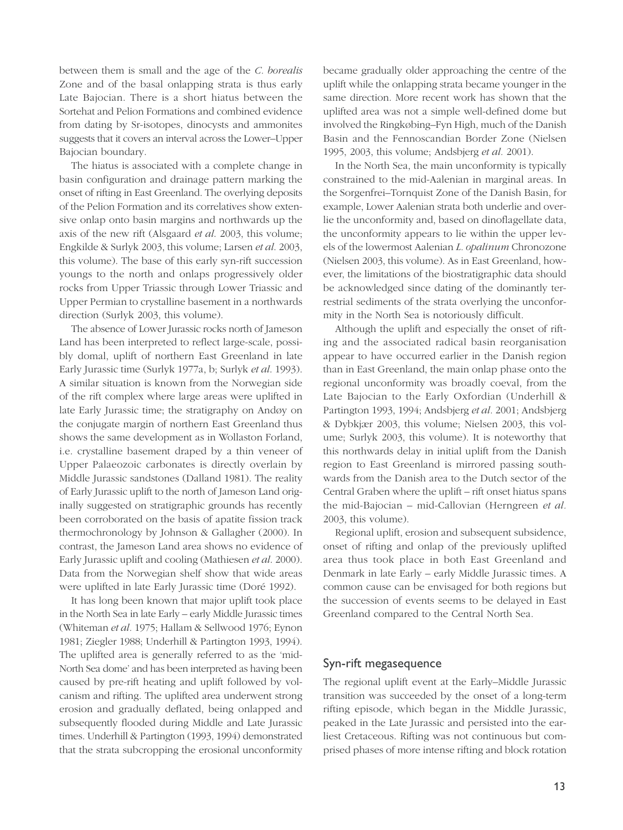between them is small and the age of the *C. borealis* Zone and of the basal onlapping strata is thus early Late Bajocian. There is a short hiatus between the Sortehat and Pelion Formations and combined evidence from dating by Sr-isotopes, dinocysts and ammonites suggests that it covers an interval across the Lower–Upper Bajocian boundary.

The hiatus is associated with a complete change in basin configuration and drainage pattern marking the onset of rifting in East Greenland. The overlying deposits of the Pelion Formation and its correlatives show extensive onlap onto basin margins and northwards up the axis of the new rift (Alsgaard *et al*. 2003, this volume; Engkilde & Surlyk 2003, this volume; Larsen *et al*. 2003, this volume). The base of this early syn-rift succession youngs to the north and onlaps progressively older rocks from Upper Triassic through Lower Triassic and Upper Permian to crystalline basement in a northwards direction (Surlyk 2003, this volume).

The absence of Lower Jurassic rocks north of Jameson Land has been interpreted to reflect large-scale, possibly domal, uplift of northern East Greenland in late Early Jurassic time (Surlyk 1977a, b; Surlyk *et al*. 1993). A similar situation is known from the Norwegian side of the rift complex where large areas were uplifted in late Early Jurassic time; the stratigraphy on Andøy on the conjugate margin of northern East Greenland thus shows the same development as in Wollaston Forland, i.e. crystalline basement draped by a thin veneer of Upper Palaeozoic carbonates is directly overlain by Middle Jurassic sandstones (Dalland 1981). The reality of Early Jurassic uplift to the north of Jameson Land originally suggested on stratigraphic grounds has recently been corroborated on the basis of apatite fission track thermochronology by Johnson & Gallagher (2000). In contrast, the Jameson Land area shows no evidence of Early Jurassic uplift and cooling (Mathiesen *et al*. 2000). Data from the Norwegian shelf show that wide areas were uplifted in late Early Jurassic time (Doré 1992).

It has long been known that major uplift took place in the North Sea in late Early – early Middle Jurassic times (Whiteman *et al.* 1975; Hallam & Sellwood 1976; Eynon 1981; Ziegler 1988; Underhill & Partington 1993, 1994). The uplifted area is generally referred to as the 'mid-North Sea dome' and has been interpreted as having been caused by pre-rift heating and uplift followed by volcanism and rifting. The uplifted area underwent strong erosion and gradually deflated, being onlapped and subsequently flooded during Middle and Late Jurassic times. Underhill & Partington (1993, 1994) demonstrated that the strata subcropping the erosional unconformity became gradually older approaching the centre of the uplift while the onlapping strata became younger in the same direction. More recent work has shown that the uplifted area was not a simple well-defined dome but involved the Ringkøbing–Fyn High, much of the Danish Basin and the Fennoscandian Border Zone (Nielsen 1995, 2003, this volume; Andsbjerg *et al.* 2001).

In the North Sea, the main unconformity is typically constrained to the mid-Aalenian in marginal areas. In the Sorgenfrei–Tornquist Zone of the Danish Basin, for example, Lower Aalenian strata both underlie and overlie the unconformity and, based on dinoflagellate data, the unconformity appears to lie within the upper levels of the lowermost Aalenian *L. opalinum* Chronozone (Nielsen 2003, this volume). As in East Greenland, however, the limitations of the biostratigraphic data should be acknowledged since dating of the dominantly terrestrial sediments of the strata overlying the unconformity in the North Sea is notoriously difficult.

Although the uplift and especially the onset of rifting and the associated radical basin reorganisation appear to have occurred earlier in the Danish region than in East Greenland, the main onlap phase onto the regional unconformity was broadly coeval, from the Late Bajocian to the Early Oxfordian (Underhill & Partington 1993, 1994; Andsbjerg *et al.* 2001; Andsbjerg & Dybkjær 2003, this volume; Nielsen 2003, this volume; Surlyk 2003, this volume). It is noteworthy that this northwards delay in initial uplift from the Danish region to East Greenland is mirrored passing southwards from the Danish area to the Dutch sector of the Central Graben where the uplift – rift onset hiatus spans the mid-Bajocian – mid-Callovian (Herngreen *et al.* 2003, this volume).

Regional uplift, erosion and subsequent subsidence, onset of rifting and onlap of the previously uplifted area thus took place in both East Greenland and Denmark in late Early – early Middle Jurassic times. A common cause can be envisaged for both regions but the succession of events seems to be delayed in East Greenland compared to the Central North Sea.

#### Syn-rift megasequence

The regional uplift event at the Early–Middle Jurassic transition was succeeded by the onset of a long-term rifting episode, which began in the Middle Jurassic, peaked in the Late Jurassic and persisted into the earliest Cretaceous. Rifting was not continuous but comprised phases of more intense rifting and block rotation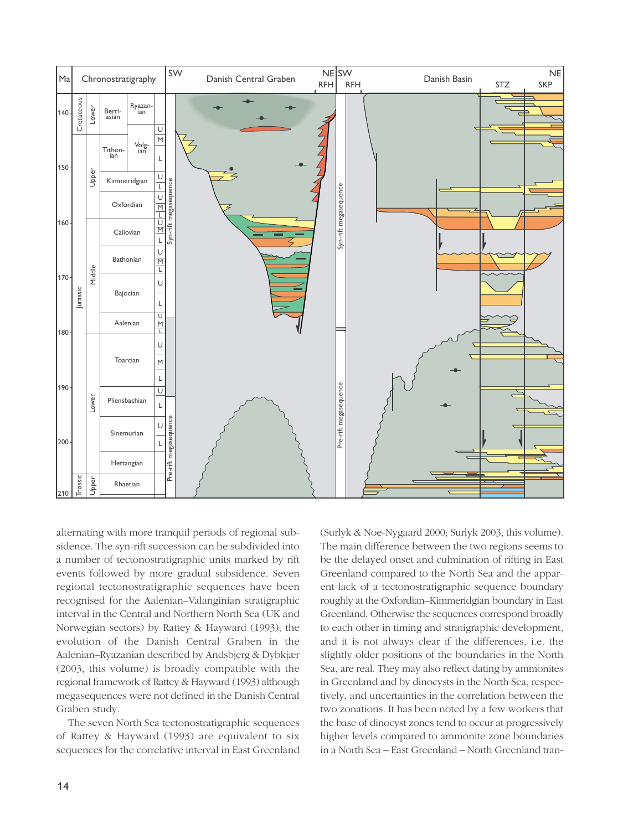

alternating with more tranquil periods of regional subsidence. The syn-rift succession can be subdivided into a number of tectonostratigraphic units marked by rift events followed by more gradual subsidence. Seven regional tectonostratigraphic sequences have been recognised for the Aalenian–Valanginian stratigraphic interval in the Central and Northern North Sea (UK and Norwegian sectors) by Rattey & Hayward (1993); the evolution of the Danish Central Graben in the Aalenian–Ryazanian described by Andsbjerg & Dybkjær (2003, this volume) is broadly compatible with the regional framework of Rattey & Hayward (1993) although megasequences were not defined in the Danish Central Graben study.

The seven North Sea tectonostratigraphic sequences of Rattey & Hayward (1993) are equivalent to six sequences for the correlative interval in East Greenland (Surlyk & Noe-Nygaard 2000; Surlyk 2003, this volume). The main difference between the two regions seems to be the delayed onset and culmination of rifting in East Greenland compared to the North Sea and the apparent lack of a tectonostratigraphic sequence boundary roughly at the Oxfordian–Kimmeridgian boundary in East Greenland. Otherwise the sequences correspond broadly to each other in timing and stratigraphic development, and it is not always clear if the differences, i.e. the slightly older positions of the boundaries in the North Sea, are real. They may also reflect dating by ammonites in Greenland and by dinocysts in the North Sea, respectively, and uncertainties in the correlation between the two zonations. It has been noted by a few workers that the base of dinocyst zones tend to occur at progressively higher levels compared to ammonite zone boundaries in a North Sea – East Greenland – North Greenland tran-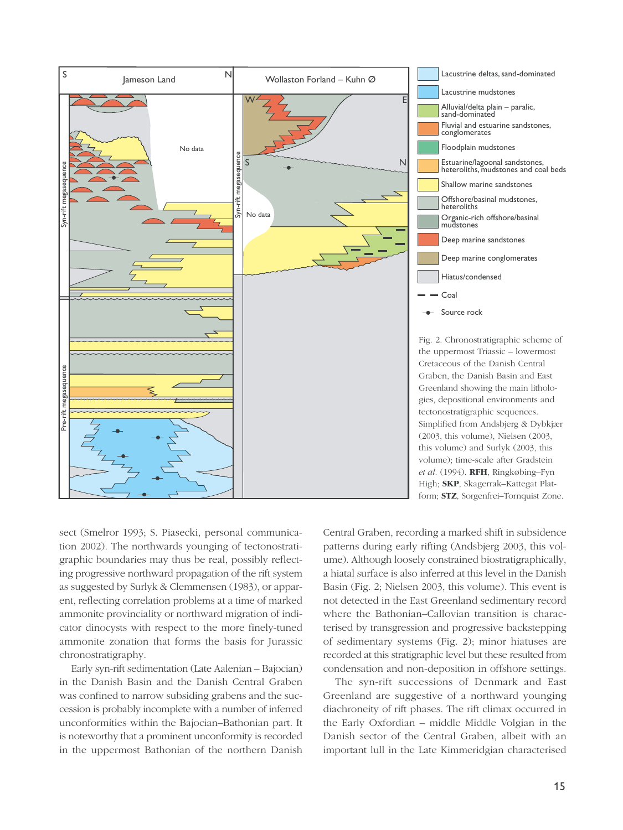

sect (Smelror 1993; S. Piasecki, personal communication 2002). The northwards younging of tectonostratigraphic boundaries may thus be real, possibly reflecting progressive northward propagation of the rift system as suggested by Surlyk & Clemmensen (1983), or apparent, reflecting correlation problems at a time of marked ammonite provinciality or northward migration of indicator dinocysts with respect to the more finely-tuned ammonite zonation that forms the basis for Jurassic chronostratigraphy.

Early syn-rift sedimentation (Late Aalenian – Bajocian) in the Danish Basin and the Danish Central Graben was confined to narrow subsiding grabens and the succession is probably incomplete with a number of inferred unconformities within the Bajocian–Bathonian part. It is noteworthy that a prominent unconformity is recorded in the uppermost Bathonian of the northern Danish

Central Graben, recording a marked shift in subsidence patterns during early rifting (Andsbjerg 2003, this volume). Although loosely constrained biostratigraphically, a hiatal surface is also inferred at this level in the Danish Basin (Fig. 2; Nielsen 2003, this volume). This event is not detected in the East Greenland sedimentary record where the Bathonian–Callovian transition is characterised by transgression and progressive backstepping of sedimentary systems (Fig. 2); minor hiatuses are recorded at this stratigraphic level but these resulted from condensation and non-deposition in offshore settings.

The syn-rift successions of Denmark and East Greenland are suggestive of a northward younging diachroneity of rift phases. The rift climax occurred in the Early Oxfordian – middle Middle Volgian in the Danish sector of the Central Graben, albeit with an important lull in the Late Kimmeridgian characterised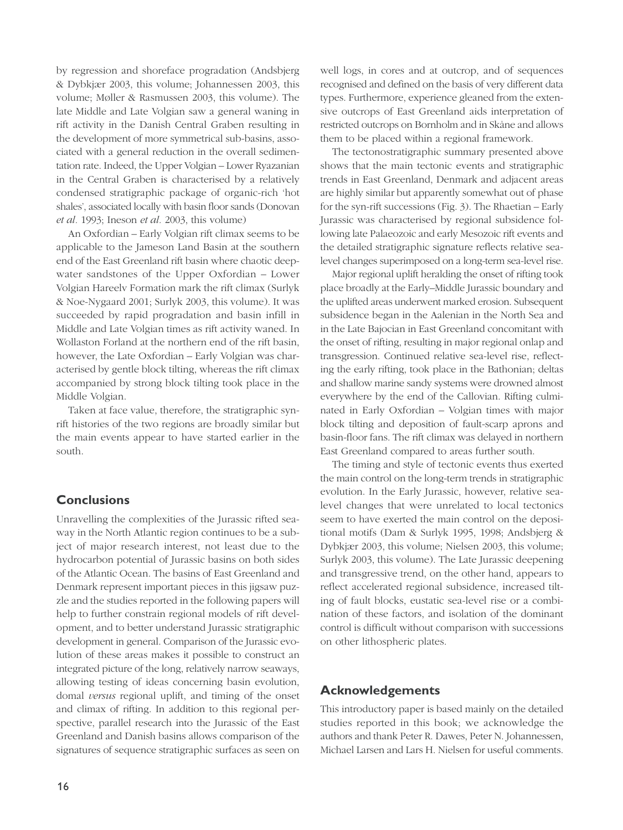by regression and shoreface progradation (Andsbjerg & Dybkjær 2003, this volume; Johannessen 2003, this volume; Møller & Rasmussen 2003, this volume). The late Middle and Late Volgian saw a general waning in rift activity in the Danish Central Graben resulting in the development of more symmetrical sub-basins, associated with a general reduction in the overall sedimentation rate. Indeed, the Upper Volgian – Lower Ryazanian in the Central Graben is characterised by a relatively condensed stratigraphic package of organic-rich 'hot shales', associated locally with basin floor sands (Donovan *et al.* 1993; Ineson *et al.* 2003, this volume)

An Oxfordian – Early Volgian rift climax seems to be applicable to the Jameson Land Basin at the southern end of the East Greenland rift basin where chaotic deepwater sandstones of the Upper Oxfordian – Lower Volgian Hareelv Formation mark the rift climax (Surlyk & Noe-Nygaard 2001; Surlyk 2003, this volume). It was succeeded by rapid progradation and basin infill in Middle and Late Volgian times as rift activity waned. In Wollaston Forland at the northern end of the rift basin, however, the Late Oxfordian – Early Volgian was characterised by gentle block tilting, whereas the rift climax accompanied by strong block tilting took place in the Middle Volgian.

Taken at face value, therefore, the stratigraphic synrift histories of the two regions are broadly similar but the main events appear to have started earlier in the south.

# **Conclusions**

Unravelling the complexities of the Jurassic rifted seaway in the North Atlantic region continues to be a subject of major research interest, not least due to the hydrocarbon potential of Jurassic basins on both sides of the Atlantic Ocean. The basins of East Greenland and Denmark represent important pieces in this jigsaw puzzle and the studies reported in the following papers will help to further constrain regional models of rift development, and to better understand Jurassic stratigraphic development in general. Comparison of the Jurassic evolution of these areas makes it possible to construct an integrated picture of the long, relatively narrow seaways, allowing testing of ideas concerning basin evolution, domal *versus* regional uplift, and timing of the onset and climax of rifting. In addition to this regional perspective, parallel research into the Jurassic of the East Greenland and Danish basins allows comparison of the signatures of sequence stratigraphic surfaces as seen on well logs, in cores and at outcrop, and of sequences recognised and defined on the basis of very different data types. Furthermore, experience gleaned from the extensive outcrops of East Greenland aids interpretation of restricted outcrops on Bornholm and in Skåne and allows them to be placed within a regional framework.

The tectonostratigraphic summary presented above shows that the main tectonic events and stratigraphic trends in East Greenland, Denmark and adjacent areas are highly similar but apparently somewhat out of phase for the syn-rift successions (Fig. 3). The Rhaetian – Early Jurassic was characterised by regional subsidence following late Palaeozoic and early Mesozoic rift events and the detailed stratigraphic signature reflects relative sealevel changes superimposed on a long-term sea-level rise.

Major regional uplift heralding the onset of rifting took place broadly at the Early–Middle Jurassic boundary and the uplifted areas underwent marked erosion. Subsequent subsidence began in the Aalenian in the North Sea and in the Late Bajocian in East Greenland concomitant with the onset of rifting, resulting in major regional onlap and transgression. Continued relative sea-level rise, reflecting the early rifting, took place in the Bathonian; deltas and shallow marine sandy systems were drowned almost everywhere by the end of the Callovian. Rifting culminated in Early Oxfordian – Volgian times with major block tilting and deposition of fault-scarp aprons and basin-floor fans. The rift climax was delayed in northern East Greenland compared to areas further south.

The timing and style of tectonic events thus exerted the main control on the long-term trends in stratigraphic evolution. In the Early Jurassic, however, relative sealevel changes that were unrelated to local tectonics seem to have exerted the main control on the depositional motifs (Dam & Surlyk 1995, 1998; Andsbjerg & Dybkjær 2003, this volume; Nielsen 2003, this volume; Surlyk 2003, this volume). The Late Jurassic deepening and transgressive trend, on the other hand, appears to reflect accelerated regional subsidence, increased tilting of fault blocks, eustatic sea-level rise or a combination of these factors, and isolation of the dominant control is difficult without comparison with successions on other lithospheric plates.

# **Acknowledgements**

This introductory paper is based mainly on the detailed studies reported in this book; we acknowledge the authors and thank Peter R. Dawes, Peter N. Johannessen, Michael Larsen and Lars H. Nielsen for useful comments.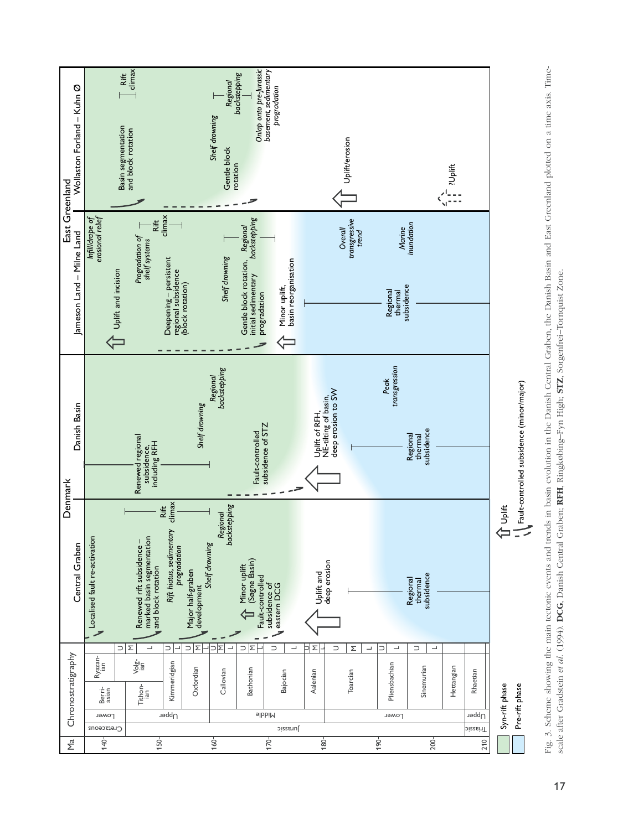

Fig. 3. Scheme showing the main tectonic events and trends in basin evolution in the Danish Graben, the Danish Basin and East Greenland plotted on a time axis. Timescale after Gradstein et al. (1994). DCG, Danish Central Graben; RFH, Ringkøbing-Fyn High; STZ, Sorgenfrei-Tornquist Zone. scale after Gradstein *et al*. (1994). **DCG**, Danish Central Graben; **RFH**, Ringkøbing–Fyn High; **STZ**, Sorgenfrei–Tornquist Zone.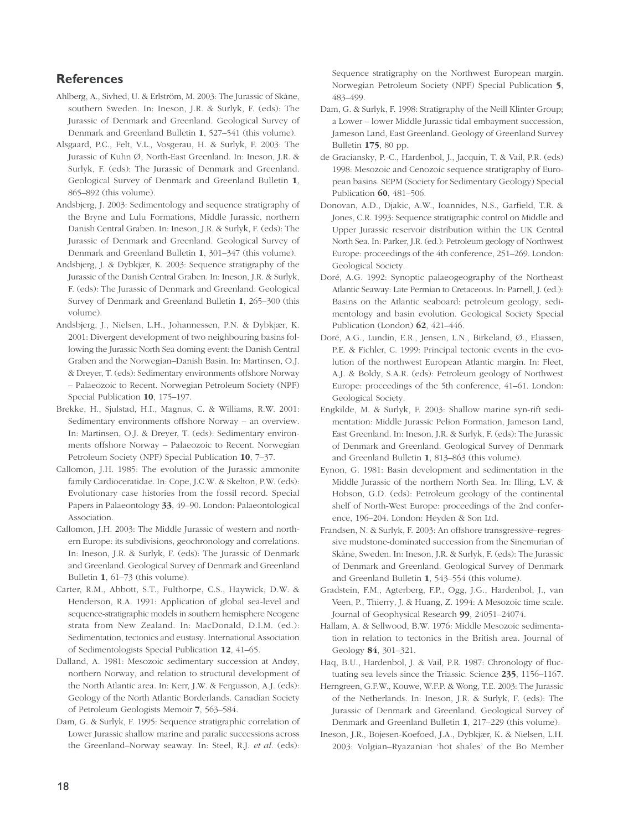### **References**

- Ahlberg, A., Sivhed, U. & Erlström, M. 2003: The Jurassic of Skåne, southern Sweden. In: Ineson, J.R. & Surlyk, F. (eds): The Jurassic of Denmark and Greenland. Geological Survey of Denmark and Greenland Bulletin **1**, 527–541 (this volume).
- Alsgaard, P.C., Felt, V.L., Vosgerau, H. & Surlyk, F. 2003: The Jurassic of Kuhn Ø, North-East Greenland. In: Ineson, J.R. & Surlyk, F. (eds): The Jurassic of Denmark and Greenland. Geological Survey of Denmark and Greenland Bulletin **1**, 865–892 (this volume).
- Andsbjerg, J. 2003: Sedimentology and sequence stratigraphy of the Bryne and Lulu Formations, Middle Jurassic, northern Danish Central Graben. In: Ineson, J.R. & Surlyk, F. (eds): The Jurassic of Denmark and Greenland. Geological Survey of Denmark and Greenland Bulletin **1**, 301–347 (this volume).
- Andsbjerg, J. & Dybkjær, K. 2003: Sequence stratigraphy of the Jurassic of the Danish Central Graben. In: Ineson, J.R. & Surlyk, F. (eds): The Jurassic of Denmark and Greenland. Geological Survey of Denmark and Greenland Bulletin **1**, 265–300 (this volume).
- Andsbjerg, J., Nielsen, L.H., Johannessen, P.N. & Dybkjær, K. 2001: Divergent development of two neighbouring basins following the Jurassic North Sea doming event: the Danish Central Graben and the Norwegian–Danish Basin. In: Martinsen, O.J. & Dreyer, T. (eds): Sedimentary environments offshore Norway – Palaeozoic to Recent. Norwegian Petroleum Society (NPF) Special Publication **10**, 175–197.
- Brekke, H., Sjulstad, H.I., Magnus, C. & Williams, R.W. 2001: Sedimentary environments offshore Norway – an overview. In: Martinsen, O.J. & Dreyer, T. (eds): Sedimentary environments offshore Norway – Palaeozoic to Recent. Norwegian Petroleum Society (NPF) Special Publication **10**, 7–37.
- Callomon, J.H. 1985: The evolution of the Jurassic ammonite family Cardioceratidae. In: Cope, J.C.W. & Skelton, P.W. (eds): Evolutionary case histories from the fossil record. Special Papers in Palaeontology **33**, 49–90. London: Palaeontological Association.
- Callomon, J.H. 2003: The Middle Jurassic of western and northern Europe: its subdivisions, geochronology and correlations. In: Ineson, J.R. & Surlyk, F. (eds): The Jurassic of Denmark and Greenland. Geological Survey of Denmark and Greenland Bulletin **1**, 61–73 (this volume).
- Carter, R.M., Abbott, S.T., Fulthorpe, C.S., Haywick, D.W. & Henderson, R.A. 1991: Application of global sea-level and sequence-stratigraphic models in southern hemisphere Neogene strata from New Zealand. In: MacDonald, D.I.M. (ed.): Sedimentation, tectonics and eustasy. International Association of Sedimentologists Special Publication **12**, 41–65.
- Dalland, A. 1981: Mesozoic sedimentary succession at Andøy, northern Norway, and relation to structural development of the North Atlantic area. In: Kerr, J.W. & Fergusson, A.J. (eds): Geology of the North Atlantic Borderlands. Canadian Society of Petroleum Geologists Memoir **7**, 563–584.
- Dam, G. & Surlyk, F. 1995: Sequence stratigraphic correlation of Lower Jurassic shallow marine and paralic successions across the Greenland–Norway seaway. In: Steel, R.J. *et al*. (eds):

Sequence stratigraphy on the Northwest European margin. Norwegian Petroleum Society (NPF) Special Publication **5**, 483–499.

- Dam, G. & Surlyk, F. 1998: Stratigraphy of the Neill Klinter Group; a Lower – lower Middle Jurassic tidal embayment succession, Jameson Land, East Greenland. Geology of Greenland Survey Bulletin **175**, 80 pp.
- de Graciansky, P.-C., Hardenbol, J., Jacquin, T. & Vail, P.R. (eds) 1998: Mesozoic and Cenozoic sequence stratigraphy of European basins. SEPM (Society for Sedimentary Geology) Special Publication **60**, 481–506.
- Donovan, A.D., Djakic, A.W., Ioannides, N.S., Garfield, T.R. & Jones, C.R. 1993: Sequence stratigraphic control on Middle and Upper Jurassic reservoir distribution within the UK Central North Sea. In: Parker, J.R. (ed.): Petroleum geology of Northwest Europe: proceedings of the 4th conference, 251–269. London: Geological Society.
- Doré, A.G. 1992: Synoptic palaeogeography of the Northeast Atlantic Seaway: Late Permian to Cretaceous. In: Parnell, J. (ed.): Basins on the Atlantic seaboard: petroleum geology, sedimentology and basin evolution. Geological Society Special Publication (London) **62**, 421–446.
- Doré, A.G., Lundin, E.R., Jensen, L.N., Birkeland, Ø., Eliassen, P.E. & Fichler, C. 1999: Principal tectonic events in the evolution of the northwest European Atlantic margin. In: Fleet, A.J. & Boldy, S.A.R. (eds): Petroleum geology of Northwest Europe: proceedings of the 5th conference, 41–61. London: Geological Society.
- Engkilde, M. & Surlyk, F. 2003: Shallow marine syn-rift sedimentation: Middle Jurassic Pelion Formation, Jameson Land, East Greenland. In: Ineson, J.R. & Surlyk, F. (eds): The Jurassic of Denmark and Greenland. Geological Survey of Denmark and Greenland Bulletin **1**, 813–863 (this volume).
- Eynon, G. 1981: Basin development and sedimentation in the Middle Jurassic of the northern North Sea. In: Illing, L.V. & Hobson, G.D. (eds): Petroleum geology of the continental shelf of North-West Europe: proceedings of the 2nd conference, 196–204. London: Heyden & Son Ltd.
- Frandsen, N. & Surlyk, F. 2003: An offshore transgressive–regressive mudstone-dominated succession from the Sinemurian of Skåne, Sweden. In: Ineson, J.R. & Surlyk, F. (eds): The Jurassic of Denmark and Greenland. Geological Survey of Denmark and Greenland Bulletin **1**, 543–554 (this volume).
- Gradstein, F.M., Agterberg, F.P., Ogg, J.G., Hardenbol, J., van Veen, P., Thierry, J. & Huang, Z. 1994: A Mesozoic time scale. Journal of Geophysical Research **99**, 24051–24074.
- Hallam, A. & Sellwood, B.W. 1976: Middle Mesozoic sedimentation in relation to tectonics in the British area. Journal of Geology **84**, 301–321.
- Haq, B.U., Hardenbol, J. & Vail, P.R. 1987: Chronology of fluctuating sea levels since the Triassic. Science **235**, 1156–1167.
- Herngreen, G.F.W., Kouwe, W.F.P. & Wong, T.E. 2003: The Jurassic of the Netherlands. In: Ineson, J.R. & Surlyk, F. (eds): The Jurassic of Denmark and Greenland. Geological Survey of Denmark and Greenland Bulletin **1**, 217–229 (this volume).
- Ineson, J.R., Bojesen-Koefoed, J.A., Dybkjær, K. & Nielsen, L.H. 2003: Volgian–Ryazanian 'hot shales' of the Bo Member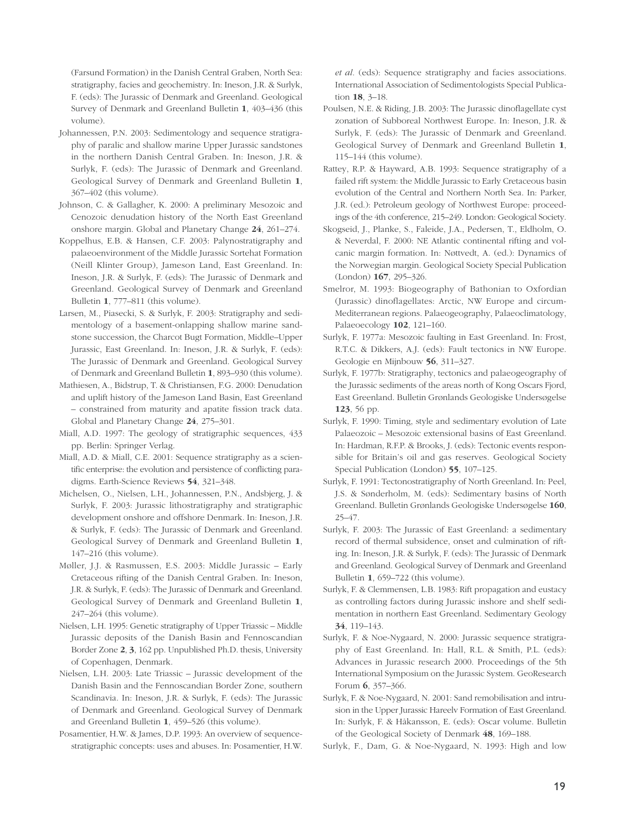(Farsund Formation) in the Danish Central Graben, North Sea: stratigraphy, facies and geochemistry. In: Ineson, J.R. & Surlyk, F. (eds): The Jurassic of Denmark and Greenland. Geological Survey of Denmark and Greenland Bulletin **1**, 403–436 (this volume).

- Johannessen, P.N. 2003: Sedimentology and sequence stratigraphy of paralic and shallow marine Upper Jurassic sandstones in the northern Danish Central Graben. In: Ineson, J.R. & Surlyk, F. (eds): The Jurassic of Denmark and Greenland. Geological Survey of Denmark and Greenland Bulletin **1**, 367–402 (this volume).
- Johnson, C. & Gallagher, K. 2000: A preliminary Mesozoic and Cenozoic denudation history of the North East Greenland onshore margin. Global and Planetary Change **24**, 261–274.
- Koppelhus, E.B. & Hansen, C.F. 2003: Palynostratigraphy and palaeoenvironment of the Middle Jurassic Sortehat Formation (Neill Klinter Group), Jameson Land, East Greenland. In: Ineson, J.R. & Surlyk, F. (eds): The Jurassic of Denmark and Greenland. Geological Survey of Denmark and Greenland Bulletin **1**, 777–811 (this volume).
- Larsen, M., Piasecki, S. & Surlyk, F. 2003: Stratigraphy and sedimentology of a basement-onlapping shallow marine sandstone succession, the Charcot Bugt Formation, Middle–Upper Jurassic, East Greenland. In: Ineson, J.R. & Surlyk, F. (eds): The Jurassic of Denmark and Greenland. Geological Survey of Denmark and Greenland Bulletin **1**, 893–930 (this volume).
- Mathiesen, A., Bidstrup, T. & Christiansen, F.G. 2000: Denudation and uplift history of the Jameson Land Basin, East Greenland – constrained from maturity and apatite fission track data. Global and Planetary Change **24**, 275–301.
- Miall, A.D. 1997: The geology of stratigraphic sequences, 433 pp. Berlin: Springer Verlag.
- Miall, A.D. & Miall, C.E. 2001: Sequence stratigraphy as a scientific enterprise: the evolution and persistence of conflicting paradigms. Earth-Science Reviews **54**, 321–348.
- Michelsen, O., Nielsen, L.H., Johannessen, P.N., Andsbjerg, J. & Surlyk, F. 2003: Jurassic lithostratigraphy and stratigraphic development onshore and offshore Denmark. In: Ineson, J.R. & Surlyk, F. (eds): The Jurassic of Denmark and Greenland. Geological Survey of Denmark and Greenland Bulletin **1**, 147–216 (this volume).
- Møller, J.J. & Rasmussen, E.S. 2003: Middle Jurassic Early Cretaceous rifting of the Danish Central Graben. In: Ineson, J.R. & Surlyk, F. (eds): The Jurassic of Denmark and Greenland. Geological Survey of Denmark and Greenland Bulletin **1**, 247–264 (this volume).
- Nielsen, L.H. 1995: Genetic stratigraphy of Upper Triassic Middle Jurassic deposits of the Danish Basin and Fennoscandian Border Zone **2**, **3**, 162 pp. Unpublished Ph.D. thesis, University of Copenhagen, Denmark.
- Nielsen, L.H. 2003: Late Triassic Jurassic development of the Danish Basin and the Fennoscandian Border Zone, southern Scandinavia. In: Ineson, J.R. & Surlyk, F. (eds): The Jurassic of Denmark and Greenland. Geological Survey of Denmark and Greenland Bulletin **1**, 459–526 (this volume).
- Posamentier, H.W. & James, D.P. 1993: An overview of sequencestratigraphic concepts: uses and abuses. In: Posamentier, H.W.

*et al.* (eds): Sequence stratigraphy and facies associations. International Association of Sedimentologists Special Publication **18**, 3–18.

- Poulsen, N.E. & Riding, J.B. 2003: The Jurassic dinoflagellate cyst zonation of Subboreal Northwest Europe. In: Ineson, J.R. & Surlyk, F. (eds): The Jurassic of Denmark and Greenland. Geological Survey of Denmark and Greenland Bulletin **1**, 115–144 (this volume).
- Rattey, R.P. & Hayward, A.B. 1993: Sequence stratigraphy of a failed rift system: the Middle Jurassic to Early Cretaceous basin evolution of the Central and Northern North Sea. In: Parker, J.R. (ed.): Petroleum geology of Northwest Europe: proceedings of the 4th conference, 215–249. London: Geological Society.
- Skogseid, J., Planke, S., Faleide, J.A., Pedersen, T., Eldholm, O. & Neverdal, F. 2000: NE Atlantic continental rifting and volcanic margin formation. In: Nøttvedt, A. (ed.): Dynamics of the Norwegian margin. Geological Society Special Publication (London) **167**, 295–326.
- Smelror, M. 1993: Biogeography of Bathonian to Oxfordian (Jurassic) dinoflagellates: Arctic, NW Europe and circum-Mediterranean regions. Palaeogeography, Palaeoclimatology, Palaeoecology **102**, 121–160.
- Surlyk, F. 1977a: Mesozoic faulting in East Greenland. In: Frost, R.T.C. & Dikkers, A.J. (eds): Fault tectonics in NW Europe. Geologie en Mijnbouw **56**, 311–327.
- Surlyk, F. 1977b: Stratigraphy, tectonics and palaeogeography of the Jurassic sediments of the areas north of Kong Oscars Fjord, East Greenland. Bulletin Grønlands Geologiske Undersøgelse **123**, 56 pp.
- Surlyk, F. 1990: Timing, style and sedimentary evolution of Late Palaeozoic – Mesozoic extensional basins of East Greenland. In: Hardman, R.F.P. & Brooks, J. (eds): Tectonic events responsible for Britain's oil and gas reserves. Geological Society Special Publication (London) **55**, 107–125.
- Surlyk, F. 1991: Tectonostratigraphy of North Greenland. In: Peel, J.S. & Sønderholm, M. (eds): Sedimentary basins of North Greenland. Bulletin Grønlands Geologiske Undersøgelse **160**, 25–47.
- Surlyk, F. 2003: The Jurassic of East Greenland: a sedimentary record of thermal subsidence, onset and culmination of rifting. In: Ineson, J.R. & Surlyk, F. (eds): The Jurassic of Denmark and Greenland. Geological Survey of Denmark and Greenland Bulletin **1**, 659–722 (this volume).
- Surlyk, F. & Clemmensen, L.B. 1983: Rift propagation and eustacy as controlling factors during Jurassic inshore and shelf sedimentation in northern East Greenland. Sedimentary Geology **34**, 119–143.
- Surlyk, F. & Noe-Nygaard, N. 2000: Jurassic sequence stratigraphy of East Greenland. In: Hall, R.L. & Smith, P.L. (eds): Advances in Jurassic research 2000. Proceedings of the 5th International Symposium on the Jurassic System. GeoResearch Forum **6**, 357–366.
- Surlyk, F. & Noe-Nygaard, N. 2001: Sand remobilisation and intrusion in the Upper Jurassic Hareelv Formation of East Greenland. In: Surlyk, F. & Håkansson, E. (eds): Oscar volume. Bulletin of the Geological Society of Denmark **48**, 169–188.
- Surlyk, F., Dam, G. & Noe-Nygaard, N. 1993: High and low